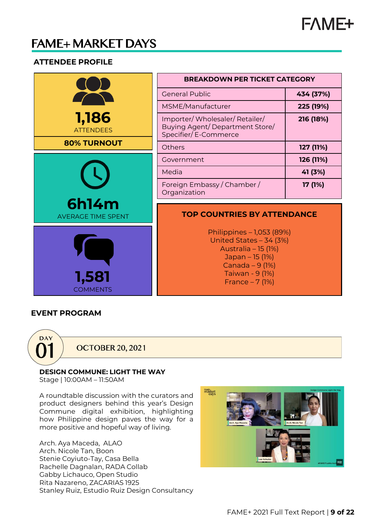

# **FAME+ MARKET DAYS**

#### **ATTENDEE PROFILE**

|                                           | <b>BREAKDOWN PER TICKET CATEGORY</b>                                                                                                                      |           |
|-------------------------------------------|-----------------------------------------------------------------------------------------------------------------------------------------------------------|-----------|
|                                           | <b>General Public</b>                                                                                                                                     | 434 (37%) |
|                                           | MSME/Manufacturer                                                                                                                                         | 225 (19%) |
| 1,186<br><b>ATTENDEES</b>                 | Importer/Wholesaler/Retailer/<br>Buying Agent/Department Store/<br>Specifier/E-Commerce                                                                   | 216 (18%) |
| <b>80% TURNOUT</b>                        | <b>Others</b>                                                                                                                                             | 127 (11%) |
|                                           | Government                                                                                                                                                | 126 (11%) |
|                                           | Media                                                                                                                                                     | 41 (3%)   |
|                                           | Foreign Embassy / Chamber /<br>Organization                                                                                                               | 17 (1%)   |
| <b>6h14m</b><br><b>AVERAGE TIME SPENT</b> | <b>TOP COUNTRIES BY ATTENDANCE</b>                                                                                                                        |           |
| 1,581<br><b>COMMENTS</b>                  | Philippines - 1,053 (89%)<br>United States - 34 (3%)<br>Australia - 15 (1%)<br>Japan - 15 (1%)<br>Canada $-9$ (1%)<br>Taiwan - 9 (1%)<br>France $-7$ (1%) |           |

TГ

#### **EVENT PROGRAM**



**OCTOBER 20, 2021** 

## **DESIGN COMMUNE: LIGHT THE WAY**

Stage | 10:00AM – 11:50AM

A roundtable discussion with the curators and product designers behind this year's Design Commune digital exhibition, highlighting how Philippine design paves the way for a more positive and hopeful way of living.

Arch. Aya Maceda, ALAO Arch. Nicole Tan, Boon Stenie Coyiuto-Tay, Casa Bella Rachelle Dagnalan, RADA Collab Gabby Lichauco, Open Studio Rita Nazareno, ZACARIAS 1925 Stanley Ruiz, Estudio Ruiz Design Consultancy

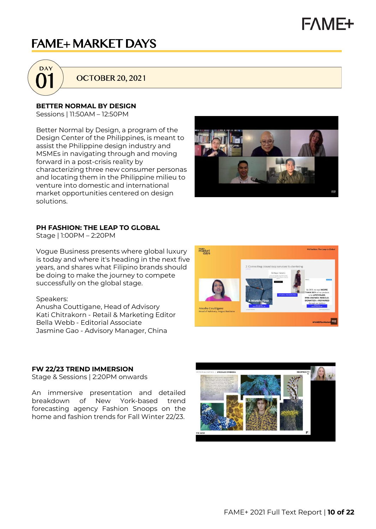# **FAME+**

# **FAME+ MARKET DAYS**



**OCTOBER 20, 2021** 

**BETTER NORMAL BY DESIGN**

Sessions | 11:50AM – 12:50PM

Better Normal by Design, a program of the Design Center of the Philippines, is meant to assist the Philippine design industry and MSMEs in navigating through and moving forward in a post-crisis reality by characterizing three new consumer personas and locating them in the Philippine milieu to venture into domestic and international market opportunities centered on design solutions.



#### **PH FASHION: THE LEAP TO GLOBAL**

Stage | 1:00PM – 2:20PM

Vogue Business presents where global luxury is today and where it's heading in the next five years, and shares what Filipino brands should be doing to make the journey to compete successfully on the global stage.

#### Speakers:

Anusha Couttigane, Head of Advisory Kati Chitrakorn - Retail & Marketing Editor Bella Webb - Editorial Associate Jasmine Gao - Advisory Manager, China

#### **FW 22/23 TREND IMMERSION**

Stage & Sessions | 2:20PM onwards

An immersive presentation and detailed breakdown of New York-based trend forecasting agency Fashion Snoops on the home and fashion trends for Fall Winter 22/23.